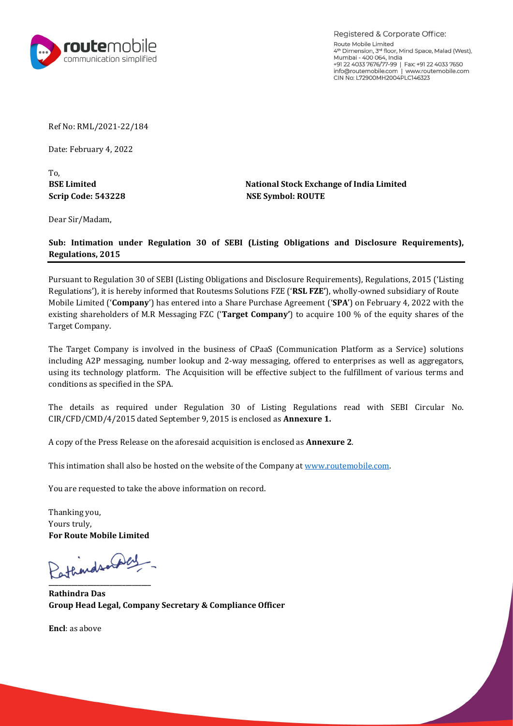‡^'ã trtsætt szv  $f-\ddagger$ ã  $\ddagger$  , " $-f$ " > vátrtt 'á  $\cdot \cdot \cdot + \downarrow$   $f - \cdot \cdot \cdot + \downarrow$   $f - \cdot \cdot \cdot + \downarrow$ …"‹'' '†‡ã wvuttz → '', 'Žã ‡*ƒ* " *f* †*f* ∙á  $-$ "ã •–‹• $f -$ ‹'•  $-$ •†‡" ‡‰ $-Zf -$ ‹'• ur '^  $\cdot\cdot\cdot-\cdot\cdot\%$ o "Ž $\cdot\%$ o $f-\cdot\text{`}\bullet\cdot\text{`}$ f $\bullet$ †  $\circ$ ‡‰—Ž $f - \cdot \cdot \cdot \bullet$ átrsw —"•—ƒ•– –' ‡‰—Žƒ–‹'• ur'ˆ ‹•–‹•‰ "Ż‹‰ƒ–‹'•• ƒ•† ‹•…Ž'•—"‡ ‡"— ‡‰—Žƒ-‹'••ï á ‹− ‹• Ї"‡"› ‹•^'"•‡† —Šƒ− '—<del>ïά</del>‡•vŠ'ŽŽ<del>)æ</del>'™•‡† •—î"•‹†‹ƒ"›'^ '"‹Z‡ ‹•‹ $-$ ‡+"ƒ•î›ï Šƒ• ‡• $-‡"‡† ‹• $-$ 'ƒ Šƒ"‡ —"..."•‡‡‰"—`‡#```#$•v-á firtt™ ‹ $-$ Š$ ‡š‹•–‹•‰•Šƒ"‡Š'݆‡"•'^ ä ƒ‡‰†4‰‹•‰f•→ï ƒî…"—‹"‡srr¨'^–Ї ‡"—‹–›•Š f "‰ $\pm -$  '•'f•>ä  $\check{S}$ ‡  $f$ "‰‡– '•' $f$ •› ‹• ‹•̃'Ž̃‡† ‹• –Ї "—•‹•‡•• 'ˆ  $ff$  '••—•‹… $f$ –‹'• Ž $f$ – ‹•…Ž—†‹•‰t•‡••ƒ‰‹•‰á•—•"‡"Ž''•—'ƒ•†t晃›•‡••ƒ‰‹•‰á'ˆˆ‡"‡†–'‡•–‡"'"‹•‡•ƒ•™‡ŽŽƒ•ƒ‰‰"‡‰ƒ–'"•á —•‹•‰ (-•–‡…Š•'Ž'‰›'Žƒ–ˆ'"•ä Š‡ …"—‹•‹–‹'• ™‹ŽŽ "‡‡ˆ‡…–‹~‡ •—"Œ  $\ldots$ '•†‹–‹'••  $f \cdot \cdot ' \ddagger \ldots$ ‹^‹ $\ddagger \uparrow$  ‹• –Š $\ddagger$  $\texttt{\^{S}} \ddagger$   $\texttt{\^{+}} \ddagger \dotplus -f \cdot \check{\mathsf{Z}} \bullet \texttt{\quad} f \bullet \texttt{\quad} " \ddagger ``- \cdot " \ddagger \uparrow \texttt{\quad} \texttt{\quad} \texttt{\quad} + \texttt{\%} \circ \texttt{\_} \ddot{\mathsf{\_}} \dot{\mathsf{\_}} \circ \texttt{\_} \texttt{\_} \texttt{\_} \texttt{\_} \texttt{\_} \texttt{\_} \texttt{\_} \texttt{\_} \texttt{\_} \texttt{\_} \texttt{\_} \texttt{\_} \texttt{\_} \texttt{\_} \texttt{\_} \texttt{\_} \text$ v-trsw †ƒ-‡† ‡'-‡•"‡"{á trsw•«‡š‡—•"…‡Z s•䇆 ƒ• …''›'´ –Ї "‡•• ‡Ž‡ $f$ •‡'• –Ї  $f$ ´'"‡• $f$ ܠ• $f$ \$"—"�‹t-‹'•‹• ‡•…Ž'•‡†  $f$ • Š‹• ‹•–‹• $f$ –‹'• •Š $f$ ŽŽ  $f$ Ž•' "‡ Š'•–‡†'• –Ї™™<u>#™ë«'–́‡–'</u>‡•'\$#އ'ä'. $f$ '•»  $f$ –  $f-f$ " $\ddagger$  " $\ddagger$ " $\leftarrow$   $\ddagger$ •– $\ddagger$ t –' $-f$ • $\ddagger$  – $\check{S}$ ‡  $f$  "'~ $\ddagger$  ‹•ˆ'"• $f$ –‹'• '• " $\ddagger$  …'" $\dagger$ ä  $\check{S}f \bullet \bullet \check{\bullet} \%$ <sup>o</sup> $\to \check{A}$  $`-"$ • –" $`-\check{Z}$ <sup>→</sup>á '"'—–‡'"‹Ž‡‹•‹–‡†

44444444444444444444444444444444  $f - \check{S} \cdot \bullet \dagger$ " $f \bullet$ "'—'  $\ddagger f$  †  $\ddagger$  ‰  $f$ Žá '•' $f$ •'  $\ddagger$  … " $\ddagger$ – $f$ "' ¬ '•'Ž‹ $f$ • …  $\ddagger$  ^´‹ …  $\ddagger$ " •…ãŽ $f \bullet f$ "'̃‡

t,

t,